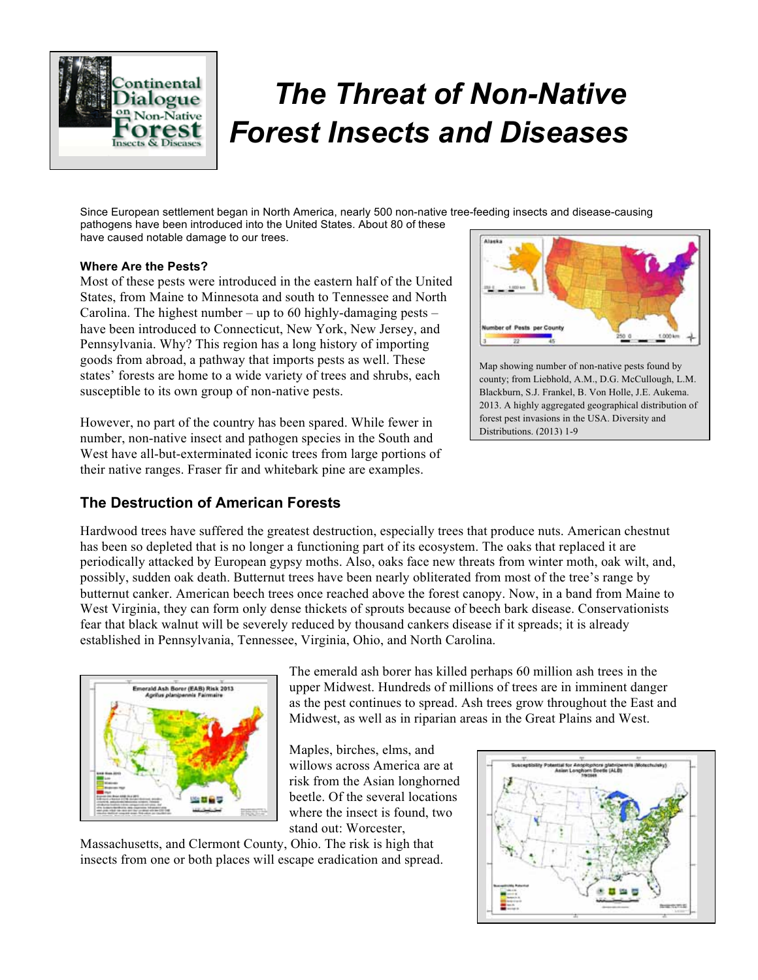

## *The Threat of Non-Native Forest Insects and Diseases*

Since European settlement began in North America, nearly 500 non-native tree-feeding insects and disease-causing pathogens have been introduced into the United States. About 80 of these have caused notable damage to our trees.

## **Where Are the Pests?**

Most of these pests were introduced in the eastern half of the United States, from Maine to Minnesota and south to Tennessee and North Carolina. The highest number – up to 60 highly-damaging pests – have been introduced to Connecticut, New York, New Jersey, and Pennsylvania. Why? This region has a long history of importing goods from abroad, a pathway that imports pests as well. These states' forests are home to a wide variety of trees and shrubs, each susceptible to its own group of non-native pests.

However, no part of the country has been spared. While fewer in number, non-native insect and pathogen species in the South and West have all-but-exterminated iconic trees from large portions of their native ranges. Fraser fir and whitebark pine are examples.

## **The Destruction of American Forests**



Map showing number of non-native pests found by county; from Liebhold, A.M., D.G. McCullough, L.M. Blackburn, S.J. Frankel, B. Von Holle, J.E. Aukema. 2013. A highly aggregated geographical distribution of forest pest invasions in the USA. Diversity and Distributions. (2013) 1-9

Hardwood trees have suffered the greatest destruction, especially trees that produce nuts. American chestnut has been so depleted that is no longer a functioning part of its ecosystem. The oaks that replaced it are periodically attacked by European gypsy moths. Also, oaks face new threats from winter moth, oak wilt, and, possibly, sudden oak death. Butternut trees have been nearly obliterated from most of the tree's range by butternut canker. American beech trees once reached above the forest canopy. Now, in a band from Maine to West Virginia, they can form only dense thickets of sprouts because of beech bark disease. Conservationists fear that black walnut will be severely reduced by thousand cankers disease if it spreads; it is already established in Pennsylvania, Tennessee, Virginia, Ohio, and North Carolina.



The emerald ash borer has killed perhaps 60 million ash trees in the upper Midwest. Hundreds of millions of trees are in imminent danger as the pest continues to spread. Ash trees grow throughout the East and Midwest, as well as in riparian areas in the Great Plains and West.

Maples, birches, elms, and willows across America are at risk from the Asian longhorned beetle. Of the several locations where the insect is found, two stand out: Worcester,

Massachusetts, and Clermont County, Ohio. The risk is high that insects from one or both places will escape eradication and spread.